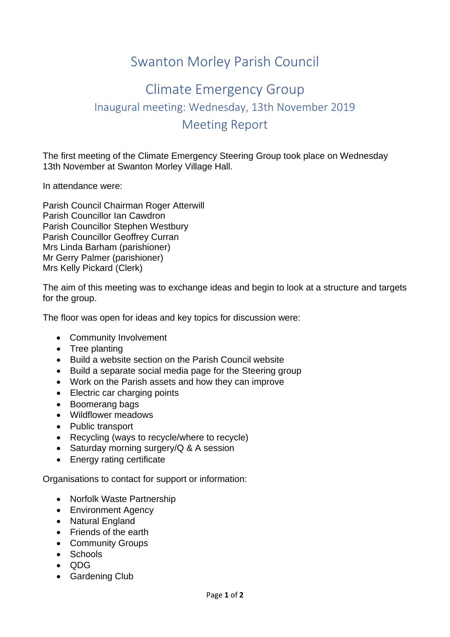## Swanton Morley Parish Council

## Climate Emergency Group Inaugural meeting: Wednesday, 13th November 2019 Meeting Report

The first meeting of the Climate Emergency Steering Group took place on Wednesday 13th November at Swanton Morley Village Hall.

In attendance were:

Parish Council Chairman Roger Atterwill Parish Councillor Ian Cawdron Parish Councillor Stephen Westbury Parish Councillor Geoffrey Curran Mrs Linda Barham (parishioner) Mr Gerry Palmer (parishioner) Mrs Kelly Pickard (Clerk)

The aim of this meeting was to exchange ideas and begin to look at a structure and targets for the group.

The floor was open for ideas and key topics for discussion were:

- Community Involvement
- Tree planting
- Build a website section on the Parish Council website
- Build a separate social media page for the Steering group
- Work on the Parish assets and how they can improve
- Electric car charging points
- Boomerang bags
- Wildflower meadows
- Public transport
- Recycling (ways to recycle/where to recycle)
- Saturday morning surgery/Q & A session
- Energy rating certificate

Organisations to contact for support or information:

- Norfolk Waste Partnership
- Environment Agency
- Natural England
- Friends of the earth
- Community Groups
- Schools
- QDG
- Gardening Club